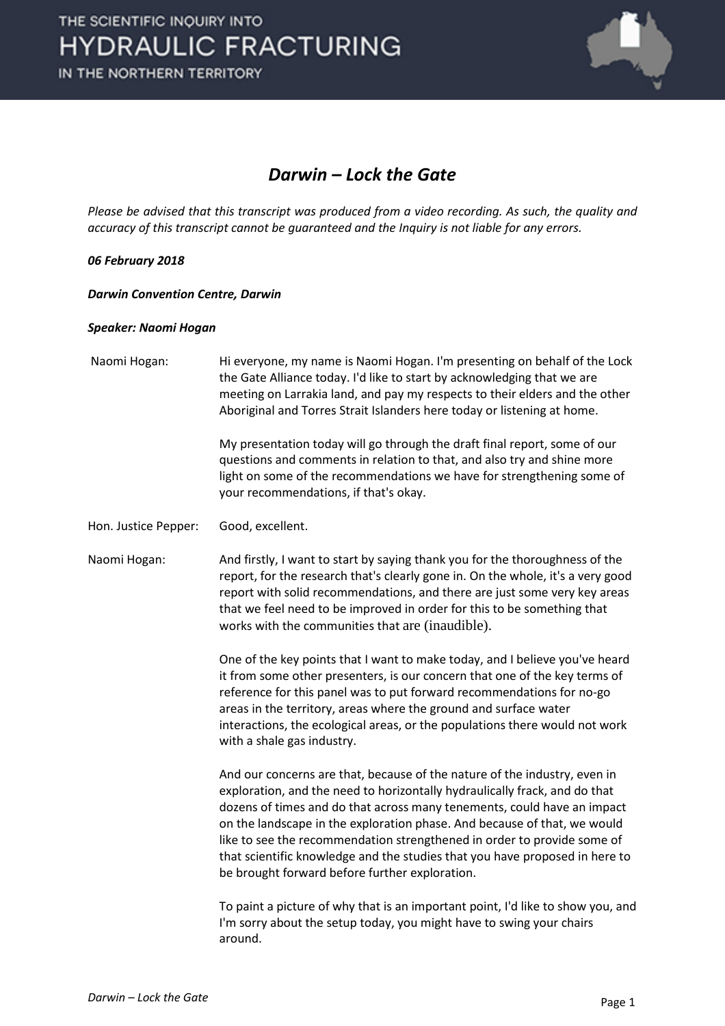

### *Darwin – Lock the Gate*

*Please be advised that this transcript was produced from a video recording. As such, the quality and accuracy of this transcript cannot be guaranteed and the Inquiry is not liable for any errors.*

#### *06 February 2018*

#### *Darwin Convention Centre, Darwin*

#### *Speaker: Naomi Hogan*

| Naomi Hogan:         | Hi everyone, my name is Naomi Hogan. I'm presenting on behalf of the Lock<br>the Gate Alliance today. I'd like to start by acknowledging that we are<br>meeting on Larrakia land, and pay my respects to their elders and the other<br>Aboriginal and Torres Strait Islanders here today or listening at home.                                                                                                                                                                                                             |
|----------------------|----------------------------------------------------------------------------------------------------------------------------------------------------------------------------------------------------------------------------------------------------------------------------------------------------------------------------------------------------------------------------------------------------------------------------------------------------------------------------------------------------------------------------|
|                      | My presentation today will go through the draft final report, some of our<br>questions and comments in relation to that, and also try and shine more<br>light on some of the recommendations we have for strengthening some of<br>your recommendations, if that's okay.                                                                                                                                                                                                                                                    |
| Hon. Justice Pepper: | Good, excellent.                                                                                                                                                                                                                                                                                                                                                                                                                                                                                                           |
| Naomi Hogan:         | And firstly, I want to start by saying thank you for the thoroughness of the<br>report, for the research that's clearly gone in. On the whole, it's a very good<br>report with solid recommendations, and there are just some very key areas<br>that we feel need to be improved in order for this to be something that<br>works with the communities that are (inaudible).                                                                                                                                                |
|                      | One of the key points that I want to make today, and I believe you've heard<br>it from some other presenters, is our concern that one of the key terms of<br>reference for this panel was to put forward recommendations for no-go<br>areas in the territory, areas where the ground and surface water<br>interactions, the ecological areas, or the populations there would not work<br>with a shale gas industry.                                                                                                        |
|                      | And our concerns are that, because of the nature of the industry, even in<br>exploration, and the need to horizontally hydraulically frack, and do that<br>dozens of times and do that across many tenements, could have an impact<br>on the landscape in the exploration phase. And because of that, we would<br>like to see the recommendation strengthened in order to provide some of<br>that scientific knowledge and the studies that you have proposed in here to<br>be brought forward before further exploration. |
|                      | To paint a picture of why that is an important point, I'd like to show you, and<br>I'm sorry about the setup today, you might have to swing your chairs<br>around.                                                                                                                                                                                                                                                                                                                                                         |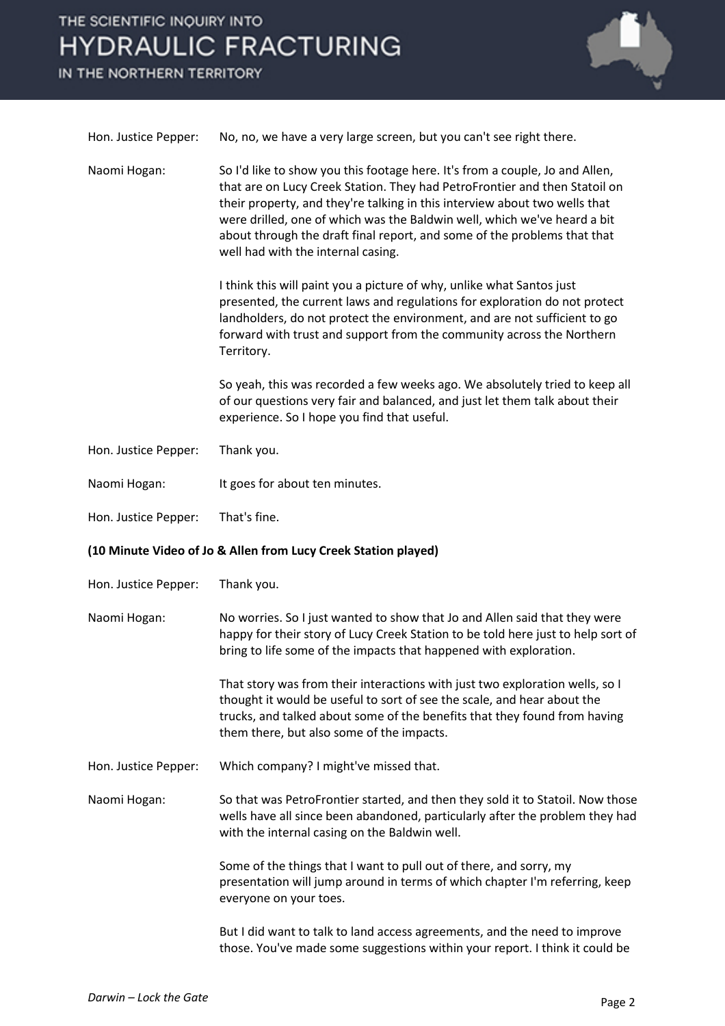## THE SCIENTIFIC INQUIRY INTO **HYDRAULIC FRACTURING**

IN THE NORTHERN TERRITORY



| Hon. Justice Pepper:                                           | No, no, we have a very large screen, but you can't see right there.                                                                                                                                                                                                                                                                                                                                                                    |  |
|----------------------------------------------------------------|----------------------------------------------------------------------------------------------------------------------------------------------------------------------------------------------------------------------------------------------------------------------------------------------------------------------------------------------------------------------------------------------------------------------------------------|--|
| Naomi Hogan:                                                   | So I'd like to show you this footage here. It's from a couple, Jo and Allen,<br>that are on Lucy Creek Station. They had PetroFrontier and then Statoil on<br>their property, and they're talking in this interview about two wells that<br>were drilled, one of which was the Baldwin well, which we've heard a bit<br>about through the draft final report, and some of the problems that that<br>well had with the internal casing. |  |
|                                                                | I think this will paint you a picture of why, unlike what Santos just<br>presented, the current laws and regulations for exploration do not protect<br>landholders, do not protect the environment, and are not sufficient to go<br>forward with trust and support from the community across the Northern<br>Territory.                                                                                                                |  |
|                                                                | So yeah, this was recorded a few weeks ago. We absolutely tried to keep all<br>of our questions very fair and balanced, and just let them talk about their<br>experience. So I hope you find that useful.                                                                                                                                                                                                                              |  |
| Hon. Justice Pepper:                                           | Thank you.                                                                                                                                                                                                                                                                                                                                                                                                                             |  |
| Naomi Hogan:                                                   | It goes for about ten minutes.                                                                                                                                                                                                                                                                                                                                                                                                         |  |
| Hon. Justice Pepper:                                           | That's fine.                                                                                                                                                                                                                                                                                                                                                                                                                           |  |
| (10 Minute Video of Jo & Allen from Lucy Creek Station played) |                                                                                                                                                                                                                                                                                                                                                                                                                                        |  |
|                                                                |                                                                                                                                                                                                                                                                                                                                                                                                                                        |  |
| Hon. Justice Pepper:                                           | Thank you.                                                                                                                                                                                                                                                                                                                                                                                                                             |  |
| Naomi Hogan:                                                   | No worries. So I just wanted to show that Jo and Allen said that they were<br>happy for their story of Lucy Creek Station to be told here just to help sort of<br>bring to life some of the impacts that happened with exploration.                                                                                                                                                                                                    |  |
|                                                                | That story was from their interactions with just two exploration wells, so I<br>thought it would be useful to sort of see the scale, and hear about the<br>trucks, and talked about some of the benefits that they found from having<br>them there, but also some of the impacts.                                                                                                                                                      |  |
| Hon. Justice Pepper:                                           | Which company? I might've missed that.                                                                                                                                                                                                                                                                                                                                                                                                 |  |
| Naomi Hogan:                                                   | So that was PetroFrontier started, and then they sold it to Statoil. Now those<br>wells have all since been abandoned, particularly after the problem they had<br>with the internal casing on the Baldwin well.                                                                                                                                                                                                                        |  |
|                                                                | Some of the things that I want to pull out of there, and sorry, my<br>presentation will jump around in terms of which chapter I'm referring, keep<br>everyone on your toes.                                                                                                                                                                                                                                                            |  |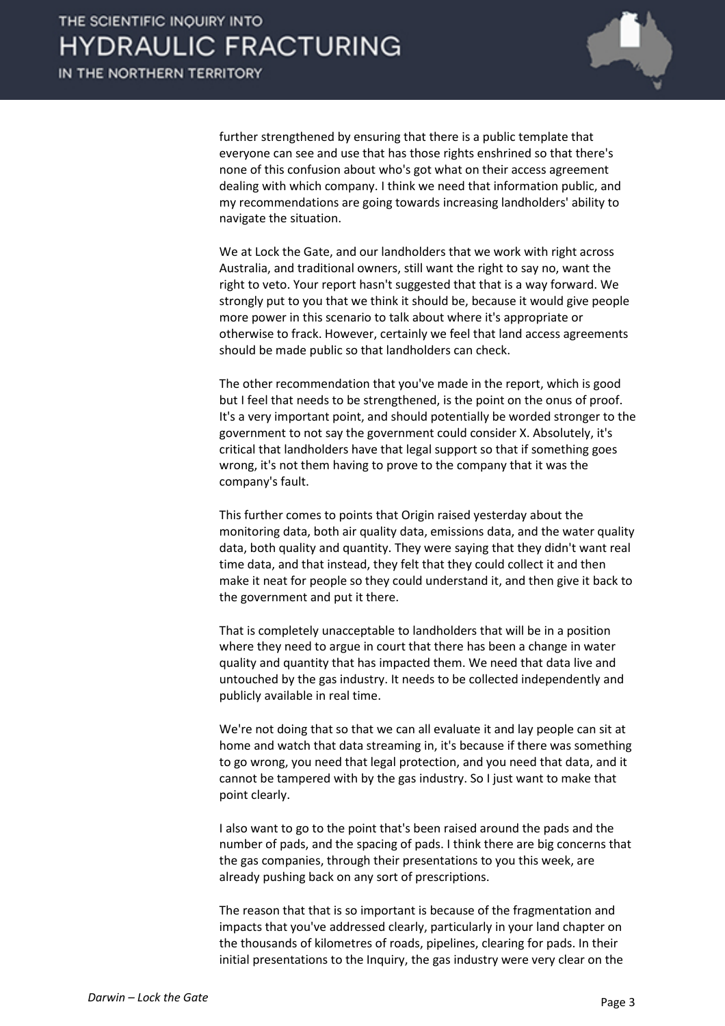

further strengthened by ensuring that there is a public template that everyone can see and use that has those rights enshrined so that there's none of this confusion about who's got what on their access agreement dealing with which company. I think we need that information public, and my recommendations are going towards increasing landholders' ability to navigate the situation.

We at Lock the Gate, and our landholders that we work with right across Australia, and traditional owners, still want the right to say no, want the right to veto. Your report hasn't suggested that that is a way forward. We strongly put to you that we think it should be, because it would give people more power in this scenario to talk about where it's appropriate or otherwise to frack. However, certainly we feel that land access agreements should be made public so that landholders can check.

The other recommendation that you've made in the report, which is good but I feel that needs to be strengthened, is the point on the onus of proof. It's a very important point, and should potentially be worded stronger to the government to not say the government could consider X. Absolutely, it's critical that landholders have that legal support so that if something goes wrong, it's not them having to prove to the company that it was the company's fault.

This further comes to points that Origin raised yesterday about the monitoring data, both air quality data, emissions data, and the water quality data, both quality and quantity. They were saying that they didn't want real time data, and that instead, they felt that they could collect it and then make it neat for people so they could understand it, and then give it back to the government and put it there.

That is completely unacceptable to landholders that will be in a position where they need to argue in court that there has been a change in water quality and quantity that has impacted them. We need that data live and untouched by the gas industry. It needs to be collected independently and publicly available in real time.

We're not doing that so that we can all evaluate it and lay people can sit at home and watch that data streaming in, it's because if there was something to go wrong, you need that legal protection, and you need that data, and it cannot be tampered with by the gas industry. So I just want to make that point clearly.

I also want to go to the point that's been raised around the pads and the number of pads, and the spacing of pads. I think there are big concerns that the gas companies, through their presentations to you this week, are already pushing back on any sort of prescriptions.

The reason that that is so important is because of the fragmentation and impacts that you've addressed clearly, particularly in your land chapter on the thousands of kilometres of roads, pipelines, clearing for pads. In their initial presentations to the Inquiry, the gas industry were very clear on the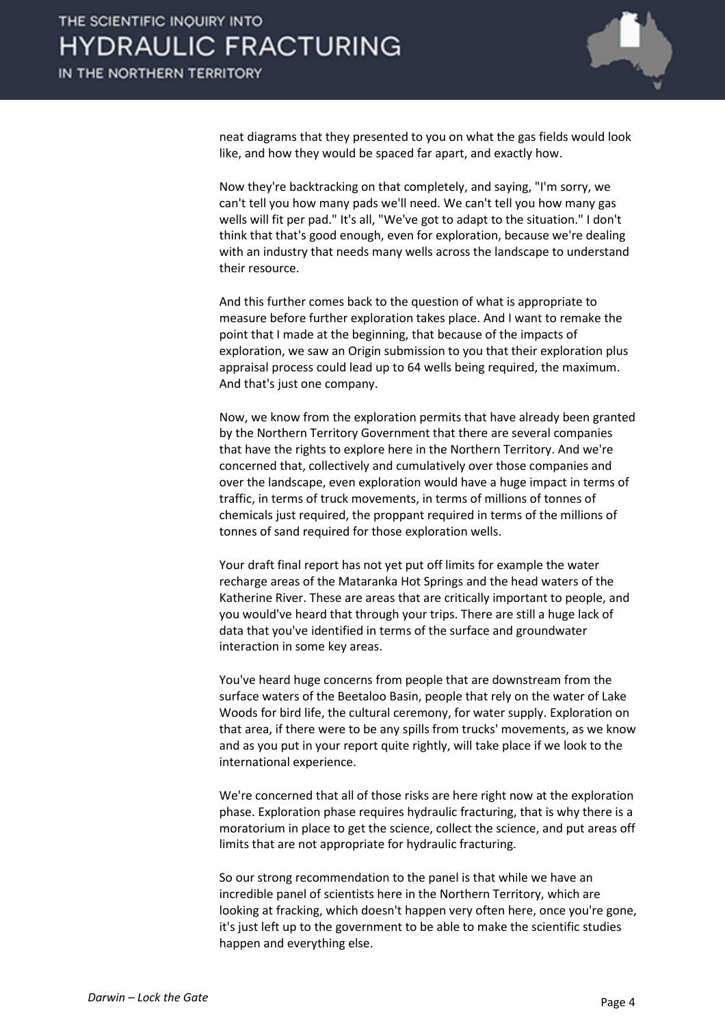

neat diagrams that they presented to you on what the gas fields would look like, and how they would be spaced far apart, and exactly how.

Now they're backtracking on that completely, and saying, "I'm sorry, we can't tell you how many pads we'll need. We can't tell you how many gas wells will fit per pad." It's all, "We've got to adapt to the situation." I don't think that that's good enough, even for exploration, because we're dealing with an industry that needs many wells across the landscape to understand their resource.

And this further comes back to the question of what is appropriate to measure before further exploration takes place. And I want to remake the point that I made at the beginning, that because of the impacts of exploration, we saw an Origin submission to you that their exploration plus appraisal process could lead up to 64 wells being required, the maximum. And that's just one company.

Now, we know from the exploration permits that have already been granted by the Northern Territory Government that there are several companies that have the rights to explore here in the Northern Territory. And we're concerned that, collectively and cumulatively over those companies and over the landscape, even exploration would have a huge impact in terms of traffic, in terms of truck movements, in terms of millions of tonnes of chemicals just required, the proppant required in terms of the millions of tonnes of sand required for those exploration wells.

Your draft final report has not yet put off limits for example the water recharge areas of the Mataranka Hot Springs and the head waters of the Katherine River. These are areas that are critically important to people, and you would've heard that through your trips. There are still a huge lack of data that you've identified in terms of the surface and groundwater interaction in some key areas.

You've heard huge concerns from people that are downstream from the surface waters of the Beetaloo Basin, people that rely on the water of Lake Woods for bird life, the cultural ceremony, for water supply. Exploration on that area, if there were to be any spills from trucks' movements, as we know and as you put in your report quite rightly, will take place if we look to the international experience.

We're concerned that all of those risks are here right now at the exploration phase. Exploration phase requires hydraulic fracturing, that is why there is a moratorium in place to get the science, collect the science, and put areas off limits that are not appropriate for hydraulic fracturing.

So our strong recommendation to the panel is that while we have an incredible panel of scientists here in the Northern Territory, which are looking at fracking, which doesn't happen very often here, once you're gone, it's just left up to the government to be able to make the scientific studies happen and everything else.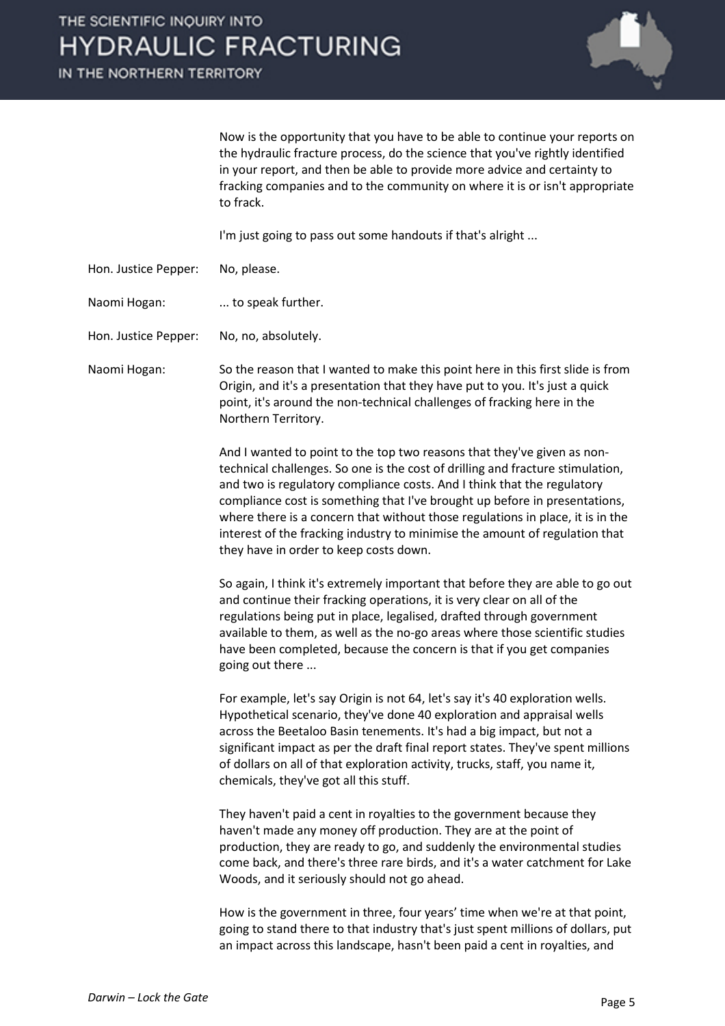IN THE NORTHERN TERRITORY



Now is the opportunity that you have to be able to continue your reports on the hydraulic fracture process, do the science that you've rightly identified in your report, and then be able to provide more advice and certainty to fracking companies and to the community on where it is or isn't appropriate to frack.

I'm just going to pass out some handouts if that's alright ...

- Hon. Justice Pepper: No, please.
- Naomi Hogan: ... to speak further.

Hon. Justice Pepper: No, no, absolutely.

Naomi Hogan: So the reason that I wanted to make this point here in this first slide is from Origin, and it's a presentation that they have put to you. It's just a quick point, it's around the non-technical challenges of fracking here in the Northern Territory.

> And I wanted to point to the top two reasons that they've given as nontechnical challenges. So one is the cost of drilling and fracture stimulation, and two is regulatory compliance costs. And I think that the regulatory compliance cost is something that I've brought up before in presentations, where there is a concern that without those regulations in place, it is in the interest of the fracking industry to minimise the amount of regulation that they have in order to keep costs down.

> So again, I think it's extremely important that before they are able to go out and continue their fracking operations, it is very clear on all of the regulations being put in place, legalised, drafted through government available to them, as well as the no-go areas where those scientific studies have been completed, because the concern is that if you get companies going out there ...

> For example, let's say Origin is not 64, let's say it's 40 exploration wells. Hypothetical scenario, they've done 40 exploration and appraisal wells across the Beetaloo Basin tenements. It's had a big impact, but not a significant impact as per the draft final report states. They've spent millions of dollars on all of that exploration activity, trucks, staff, you name it, chemicals, they've got all this stuff.

> They haven't paid a cent in royalties to the government because they haven't made any money off production. They are at the point of production, they are ready to go, and suddenly the environmental studies come back, and there's three rare birds, and it's a water catchment for Lake Woods, and it seriously should not go ahead.

> How is the government in three, four years' time when we're at that point, going to stand there to that industry that's just spent millions of dollars, put an impact across this landscape, hasn't been paid a cent in royalties, and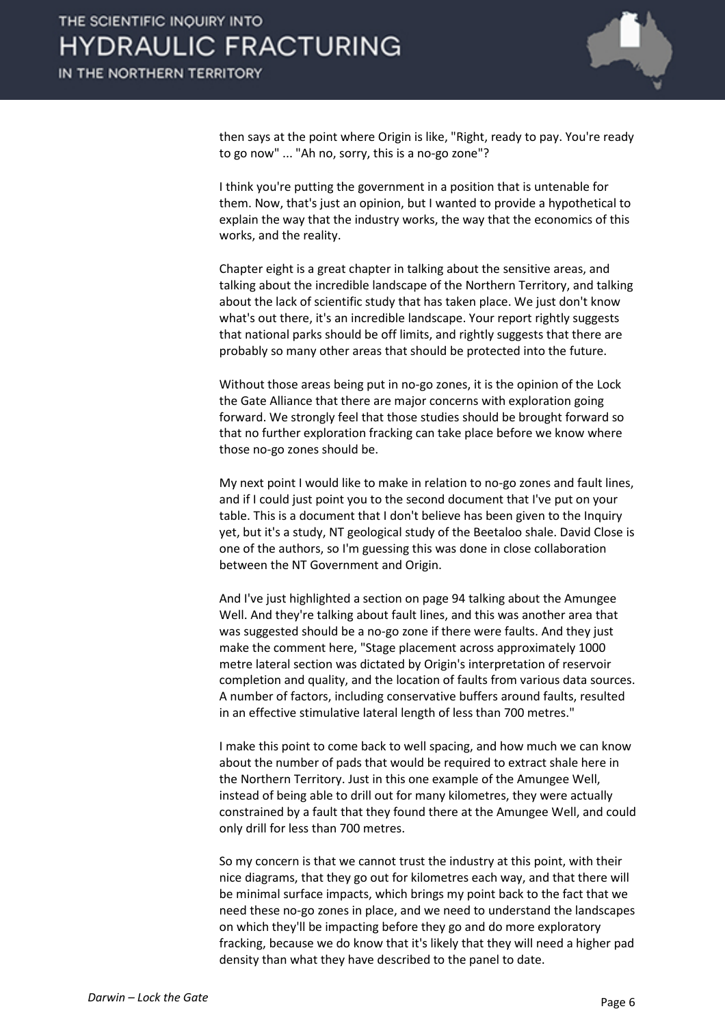

then says at the point where Origin is like, "Right, ready to pay. You're ready to go now" ... "Ah no, sorry, this is a no-go zone"?

I think you're putting the government in a position that is untenable for them. Now, that's just an opinion, but I wanted to provide a hypothetical to explain the way that the industry works, the way that the economics of this works, and the reality.

Chapter eight is a great chapter in talking about the sensitive areas, and talking about the incredible landscape of the Northern Territory, and talking about the lack of scientific study that has taken place. We just don't know what's out there, it's an incredible landscape. Your report rightly suggests that national parks should be off limits, and rightly suggests that there are probably so many other areas that should be protected into the future.

Without those areas being put in no-go zones, it is the opinion of the Lock the Gate Alliance that there are major concerns with exploration going forward. We strongly feel that those studies should be brought forward so that no further exploration fracking can take place before we know where those no-go zones should be.

My next point I would like to make in relation to no-go zones and fault lines, and if I could just point you to the second document that I've put on your table. This is a document that I don't believe has been given to the Inquiry yet, but it's a study, NT geological study of the Beetaloo shale. David Close is one of the authors, so I'm guessing this was done in close collaboration between the NT Government and Origin.

And I've just highlighted a section on page 94 talking about the Amungee Well. And they're talking about fault lines, and this was another area that was suggested should be a no-go zone if there were faults. And they just make the comment here, "Stage placement across approximately 1000 metre lateral section was dictated by Origin's interpretation of reservoir completion and quality, and the location of faults from various data sources. A number of factors, including conservative buffers around faults, resulted in an effective stimulative lateral length of less than 700 metres."

I make this point to come back to well spacing, and how much we can know about the number of pads that would be required to extract shale here in the Northern Territory. Just in this one example of the Amungee Well, instead of being able to drill out for many kilometres, they were actually constrained by a fault that they found there at the Amungee Well, and could only drill for less than 700 metres.

So my concern is that we cannot trust the industry at this point, with their nice diagrams, that they go out for kilometres each way, and that there will be minimal surface impacts, which brings my point back to the fact that we need these no-go zones in place, and we need to understand the landscapes on which they'll be impacting before they go and do more exploratory fracking, because we do know that it's likely that they will need a higher pad density than what they have described to the panel to date.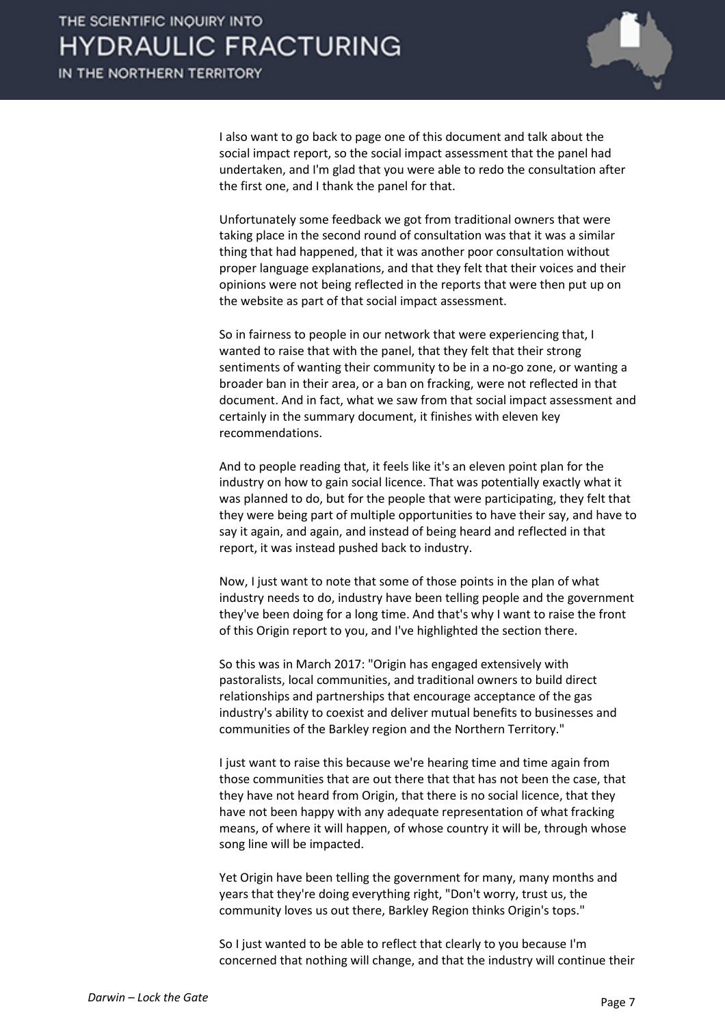

I also want to go back to page one of this document and talk about the social impact report, so the social impact assessment that the panel had undertaken, and I'm glad that you were able to redo the consultation after the first one, and I thank the panel for that.

Unfortunately some feedback we got from traditional owners that were taking place in the second round of consultation was that it was a similar thing that had happened, that it was another poor consultation without proper language explanations, and that they felt that their voices and their opinions were not being reflected in the reports that were then put up on the website as part of that social impact assessment.

So in fairness to people in our network that were experiencing that, I wanted to raise that with the panel, that they felt that their strong sentiments of wanting their community to be in a no-go zone, or wanting a broader ban in their area, or a ban on fracking, were not reflected in that document. And in fact, what we saw from that social impact assessment and certainly in the summary document, it finishes with eleven key recommendations.

And to people reading that, it feels like it's an eleven point plan for the industry on how to gain social licence. That was potentially exactly what it was planned to do, but for the people that were participating, they felt that they were being part of multiple opportunities to have their say, and have to say it again, and again, and instead of being heard and reflected in that report, it was instead pushed back to industry.

Now, I just want to note that some of those points in the plan of what industry needs to do, industry have been telling people and the government they've been doing for a long time. And that's why I want to raise the front of this Origin report to you, and I've highlighted the section there.

So this was in March 2017: "Origin has engaged extensively with pastoralists, local communities, and traditional owners to build direct relationships and partnerships that encourage acceptance of the gas industry's ability to coexist and deliver mutual benefits to businesses and communities of the Barkley region and the Northern Territory."

I just want to raise this because we're hearing time and time again from those communities that are out there that that has not been the case, that they have not heard from Origin, that there is no social licence, that they have not been happy with any adequate representation of what fracking means, of where it will happen, of whose country it will be, through whose song line will be impacted.

Yet Origin have been telling the government for many, many months and years that they're doing everything right, "Don't worry, trust us, the community loves us out there, Barkley Region thinks Origin's tops."

So I just wanted to be able to reflect that clearly to you because I'm concerned that nothing will change, and that the industry will continue their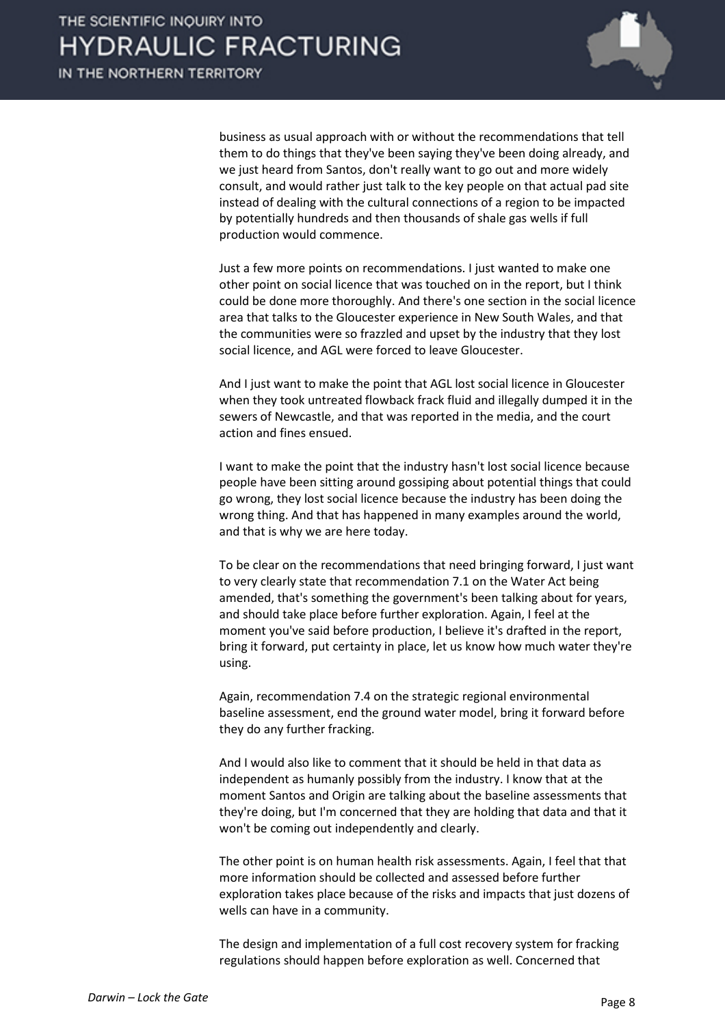

business as usual approach with or without the recommendations that tell them to do things that they've been saying they've been doing already, and we just heard from Santos, don't really want to go out and more widely consult, and would rather just talk to the key people on that actual pad site instead of dealing with the cultural connections of a region to be impacted by potentially hundreds and then thousands of shale gas wells if full production would commence.

Just a few more points on recommendations. I just wanted to make one other point on social licence that was touched on in the report, but I think could be done more thoroughly. And there's one section in the social licence area that talks to the Gloucester experience in New South Wales, and that the communities were so frazzled and upset by the industry that they lost social licence, and AGL were forced to leave Gloucester.

And I just want to make the point that AGL lost social licence in Gloucester when they took untreated flowback frack fluid and illegally dumped it in the sewers of Newcastle, and that was reported in the media, and the court action and fines ensued.

I want to make the point that the industry hasn't lost social licence because people have been sitting around gossiping about potential things that could go wrong, they lost social licence because the industry has been doing the wrong thing. And that has happened in many examples around the world, and that is why we are here today.

To be clear on the recommendations that need bringing forward, I just want to very clearly state that recommendation 7.1 on the Water Act being amended, that's something the government's been talking about for years, and should take place before further exploration. Again, I feel at the moment you've said before production, I believe it's drafted in the report, bring it forward, put certainty in place, let us know how much water they're using.

Again, recommendation 7.4 on the strategic regional environmental baseline assessment, end the ground water model, bring it forward before they do any further fracking.

And I would also like to comment that it should be held in that data as independent as humanly possibly from the industry. I know that at the moment Santos and Origin are talking about the baseline assessments that they're doing, but I'm concerned that they are holding that data and that it won't be coming out independently and clearly.

The other point is on human health risk assessments. Again, I feel that that more information should be collected and assessed before further exploration takes place because of the risks and impacts that just dozens of wells can have in a community.

The design and implementation of a full cost recovery system for fracking regulations should happen before exploration as well. Concerned that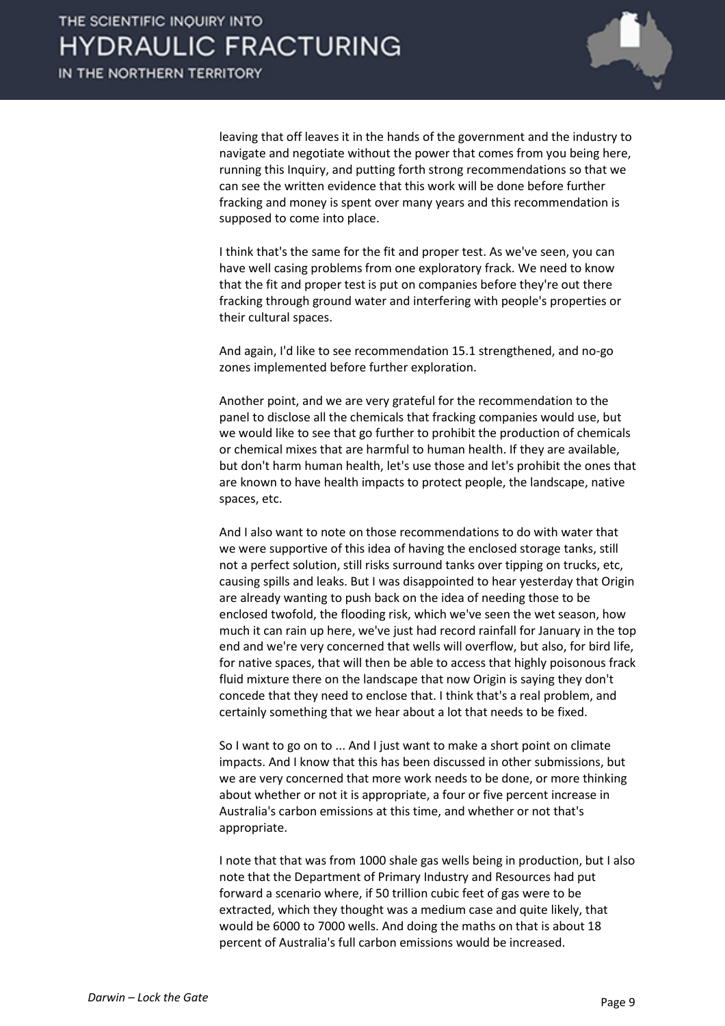

leaving that off leaves it in the hands of the government and the industry to navigate and negotiate without the power that comes from you being here, running this Inquiry, and putting forth strong recommendations so that we can see the written evidence that this work will be done before further fracking and money is spent over many years and this recommendation is supposed to come into place.

I think that's the same for the fit and proper test. As we've seen, you can have well casing problems from one exploratory frack. We need to know that the fit and proper test is put on companies before they're out there fracking through ground water and interfering with people's properties or their cultural spaces.

And again, I'd like to see recommendation 15.1 strengthened, and no-go zones implemented before further exploration.

Another point, and we are very grateful for the recommendation to the panel to disclose all the chemicals that fracking companies would use, but we would like to see that go further to prohibit the production of chemicals or chemical mixes that are harmful to human health. If they are available, but don't harm human health, let's use those and let's prohibit the ones that are known to have health impacts to protect people, the landscape, native spaces, etc.

And I also want to note on those recommendations to do with water that we were supportive of this idea of having the enclosed storage tanks, still not a perfect solution, still risks surround tanks over tipping on trucks, etc, causing spills and leaks. But I was disappointed to hear yesterday that Origin are already wanting to push back on the idea of needing those to be enclosed twofold, the flooding risk, which we've seen the wet season, how much it can rain up here, we've just had record rainfall for January in the top end and we're very concerned that wells will overflow, but also, for bird life, for native spaces, that will then be able to access that highly poisonous frack fluid mixture there on the landscape that now Origin is saying they don't concede that they need to enclose that. I think that's a real problem, and certainly something that we hear about a lot that needs to be fixed.

So I want to go on to ... And I just want to make a short point on climate impacts. And I know that this has been discussed in other submissions, but we are very concerned that more work needs to be done, or more thinking about whether or not it is appropriate, a four or five percent increase in Australia's carbon emissions at this time, and whether or not that's appropriate.

I note that that was from 1000 shale gas wells being in production, but I also note that the Department of Primary Industry and Resources had put forward a scenario where, if 50 trillion cubic feet of gas were to be extracted, which they thought was a medium case and quite likely, that would be 6000 to 7000 wells. And doing the maths on that is about 18 percent of Australia's full carbon emissions would be increased.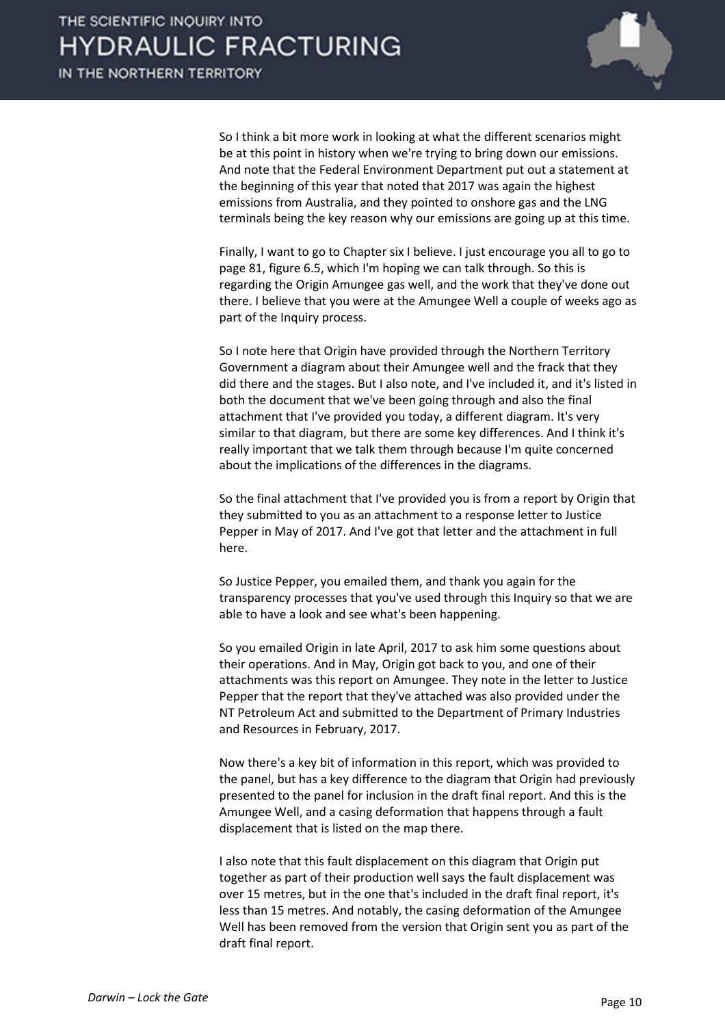

So I think a bit more work in looking at what the different scenarios might be at this point in history when we're trying to bring down our emissions. And note that the Federal Environment Department put out a statement at the beginning of this year that noted that 2017 was again the highest emissions from Australia, and they pointed to onshore gas and the LNG terminals being the key reason why our emissions are going up at this time.

Finally, I want to go to Chapter six I believe. I just encourage you all to go to page 81, figure 6.5, which I'm hoping we can talk through. So this is regarding the Origin Amungee gas well, and the work that they've done out there. I believe that you were at the Amungee Well a couple of weeks ago as part of the Inquiry process.

So I note here that Origin have provided through the Northern Territory Government a diagram about their Amungee well and the frack that they did there and the stages. But I also note, and I've included it, and it's listed in both the document that we've been going through and also the final attachment that I've provided you today, a different diagram. It's very similar to that diagram, but there are some key differences. And I think it's really important that we talk them through because I'm quite concerned about the implications of the differences in the diagrams.

So the final attachment that I've provided you is from a report by Origin that they submitted to you as an attachment to a response letter to Justice Pepper in May of 2017. And I've got that letter and the attachment in full here.

So Justice Pepper, you emailed them, and thank you again for the transparency processes that you've used through this Inquiry so that we are able to have a look and see what's been happening.

So you emailed Origin in late April, 2017 to ask him some questions about their operations. And in May, Origin got back to you, and one of their attachments was this report on Amungee. They note in the letter to Justice Pepper that the report that they've attached was also provided under the NT Petroleum Act and submitted to the Department of Primary Industries and Resources in February, 2017.

Now there's a key bit of information in this report, which was provided to the panel, but has a key difference to the diagram that Origin had previously presented to the panel for inclusion in the draft final report. And this is the Amungee Well, and a casing deformation that happens through a fault displacement that is listed on the map there.

I also note that this fault displacement on this diagram that Origin put together as part of their production well says the fault displacement was over 15 metres, but in the one that's included in the draft final report, it's less than 15 metres. And notably, the casing deformation of the Amungee Well has been removed from the version that Origin sent you as part of the draft final report.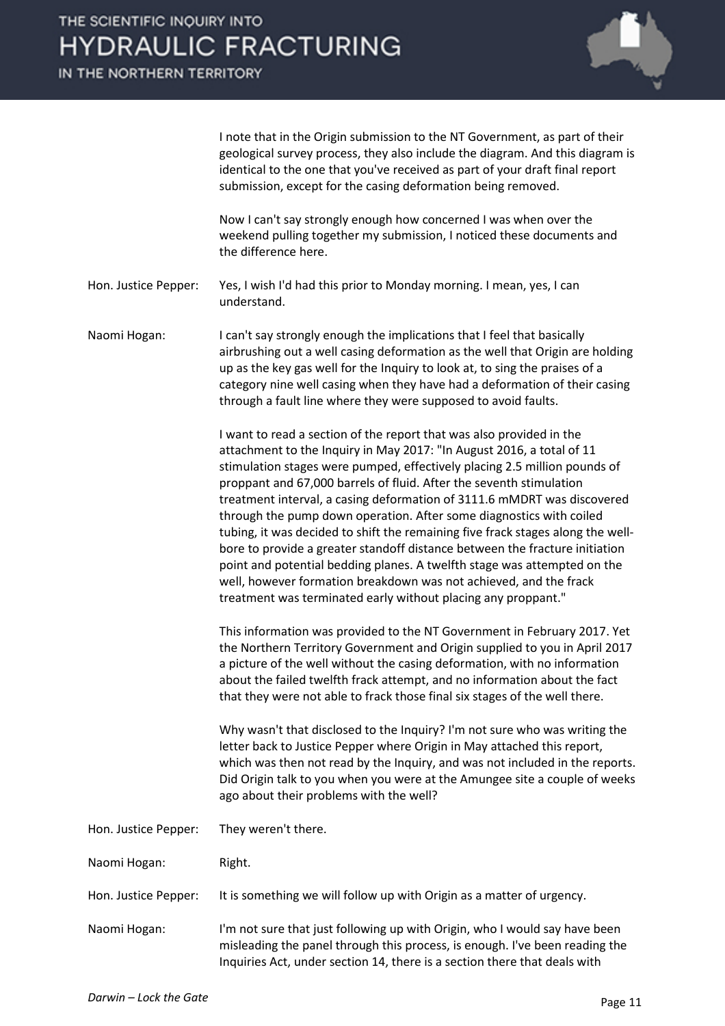IN THE NORTHERN TERRITORY



I note that in the Origin submission to the NT Government, as part of their geological survey process, they also include the diagram. And this diagram is identical to the one that you've received as part of your draft final report submission, except for the casing deformation being removed.

Now I can't say strongly enough how concerned I was when over the weekend pulling together my submission, I noticed these documents and the difference here.

Hon. Justice Pepper: Yes, I wish I'd had this prior to Monday morning. I mean, yes, I can understand.

Naomi Hogan: I can't say strongly enough the implications that I feel that basically airbrushing out a well casing deformation as the well that Origin are holding up as the key gas well for the Inquiry to look at, to sing the praises of a category nine well casing when they have had a deformation of their casing through a fault line where they were supposed to avoid faults.

> I want to read a section of the report that was also provided in the attachment to the Inquiry in May 2017: "In August 2016, a total of 11 stimulation stages were pumped, effectively placing 2.5 million pounds of proppant and 67,000 barrels of fluid. After the seventh stimulation treatment interval, a casing deformation of 3111.6 mMDRT was discovered through the pump down operation. After some diagnostics with coiled tubing, it was decided to shift the remaining five frack stages along the wellbore to provide a greater standoff distance between the fracture initiation point and potential bedding planes. A twelfth stage was attempted on the well, however formation breakdown was not achieved, and the frack treatment was terminated early without placing any proppant."

> This information was provided to the NT Government in February 2017. Yet the Northern Territory Government and Origin supplied to you in April 2017 a picture of the well without the casing deformation, with no information about the failed twelfth frack attempt, and no information about the fact that they were not able to frack those final six stages of the well there.

> Why wasn't that disclosed to the Inquiry? I'm not sure who was writing the letter back to Justice Pepper where Origin in May attached this report, which was then not read by the Inquiry, and was not included in the reports. Did Origin talk to you when you were at the Amungee site a couple of weeks ago about their problems with the well?

| Hon. Justice Pepper: | They weren't there. |
|----------------------|---------------------|
| Naomi Hogan:         | Right.              |

Hon. Justice Pepper: It is something we will follow up with Origin as a matter of urgency.

Naomi Hogan: I'm not sure that just following up with Origin, who I would say have been misleading the panel through this process, is enough. I've been reading the Inquiries Act, under section 14, there is a section there that deals with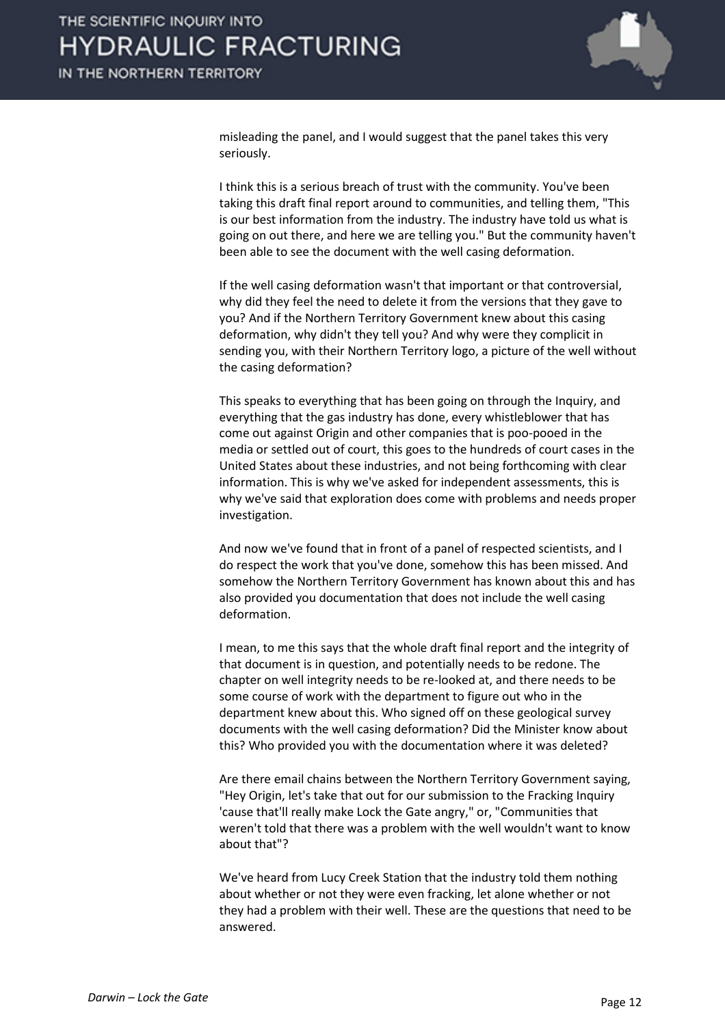

misleading the panel, and I would suggest that the panel takes this very seriously.

I think this is a serious breach of trust with the community. You've been taking this draft final report around to communities, and telling them, "This is our best information from the industry. The industry have told us what is going on out there, and here we are telling you." But the community haven't been able to see the document with the well casing deformation.

If the well casing deformation wasn't that important or that controversial, why did they feel the need to delete it from the versions that they gave to you? And if the Northern Territory Government knew about this casing deformation, why didn't they tell you? And why were they complicit in sending you, with their Northern Territory logo, a picture of the well without the casing deformation?

This speaks to everything that has been going on through the Inquiry, and everything that the gas industry has done, every whistleblower that has come out against Origin and other companies that is poo-pooed in the media or settled out of court, this goes to the hundreds of court cases in the United States about these industries, and not being forthcoming with clear information. This is why we've asked for independent assessments, this is why we've said that exploration does come with problems and needs proper investigation.

And now we've found that in front of a panel of respected scientists, and I do respect the work that you've done, somehow this has been missed. And somehow the Northern Territory Government has known about this and has also provided you documentation that does not include the well casing deformation.

I mean, to me this says that the whole draft final report and the integrity of that document is in question, and potentially needs to be redone. The chapter on well integrity needs to be re-looked at, and there needs to be some course of work with the department to figure out who in the department knew about this. Who signed off on these geological survey documents with the well casing deformation? Did the Minister know about this? Who provided you with the documentation where it was deleted?

Are there email chains between the Northern Territory Government saying, "Hey Origin, let's take that out for our submission to the Fracking Inquiry 'cause that'll really make Lock the Gate angry," or, "Communities that weren't told that there was a problem with the well wouldn't want to know about that"?

We've heard from Lucy Creek Station that the industry told them nothing about whether or not they were even fracking, let alone whether or not they had a problem with their well. These are the questions that need to be answered.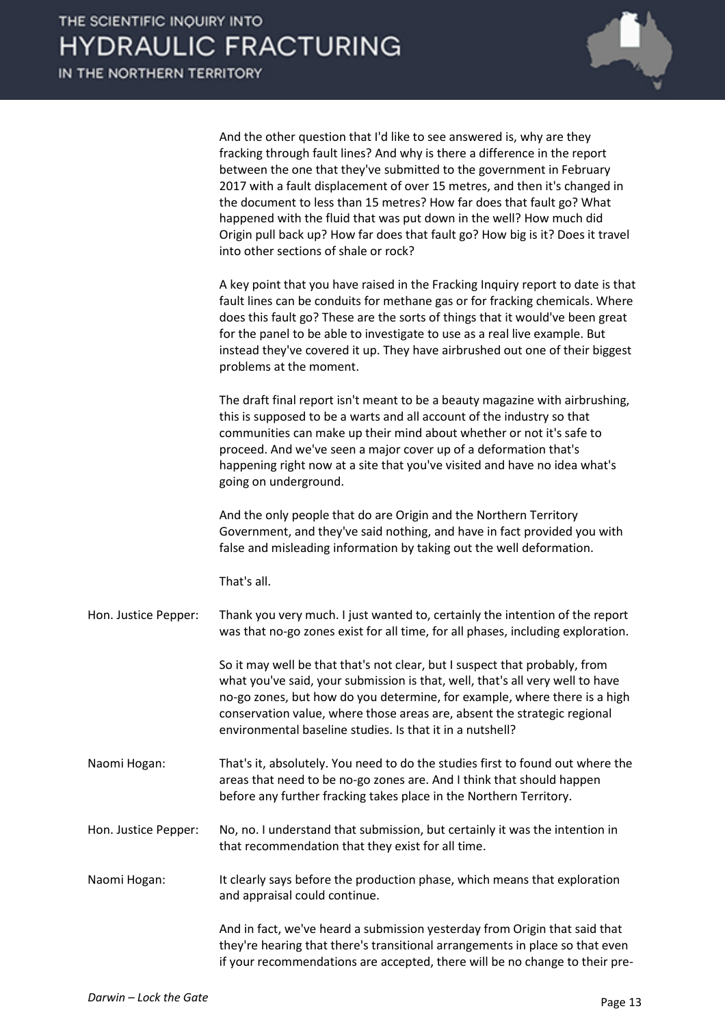

And the other question that I'd like to see answered is, why are they fracking through fault lines? And why is there a difference in the report between the one that they've submitted to the government in February 2017 with a fault displacement of over 15 metres, and then it's changed in the document to less than 15 metres? How far does that fault go? What happened with the fluid that was put down in the well? How much did Origin pull back up? How far does that fault go? How big is it? Does it travel into other sections of shale or rock?

A key point that you have raised in the Fracking Inquiry report to date is that fault lines can be conduits for methane gas or for fracking chemicals. Where does this fault go? These are the sorts of things that it would've been great for the panel to be able to investigate to use as a real live example. But instead they've covered it up. They have airbrushed out one of their biggest problems at the moment.

The draft final report isn't meant to be a beauty magazine with airbrushing, this is supposed to be a warts and all account of the industry so that communities can make up their mind about whether or not it's safe to proceed. And we've seen a major cover up of a deformation that's happening right now at a site that you've visited and have no idea what's going on underground.

And the only people that do are Origin and the Northern Territory Government, and they've said nothing, and have in fact provided you with false and misleading information by taking out the well deformation.

That's all.

Hon. Justice Pepper: Thank you very much. I just wanted to, certainly the intention of the report was that no-go zones exist for all time, for all phases, including exploration.

> So it may well be that that's not clear, but I suspect that probably, from what you've said, your submission is that, well, that's all very well to have no-go zones, but how do you determine, for example, where there is a high conservation value, where those areas are, absent the strategic regional environmental baseline studies. Is that it in a nutshell?

- Naomi Hogan: That's it, absolutely. You need to do the studies first to found out where the areas that need to be no-go zones are. And I think that should happen before any further fracking takes place in the Northern Territory.
- Hon. Justice Pepper: No, no. I understand that submission, but certainly it was the intention in that recommendation that they exist for all time.

Naomi Hogan: It clearly says before the production phase, which means that exploration and appraisal could continue.

> And in fact, we've heard a submission yesterday from Origin that said that they're hearing that there's transitional arrangements in place so that even if your recommendations are accepted, there will be no change to their pre-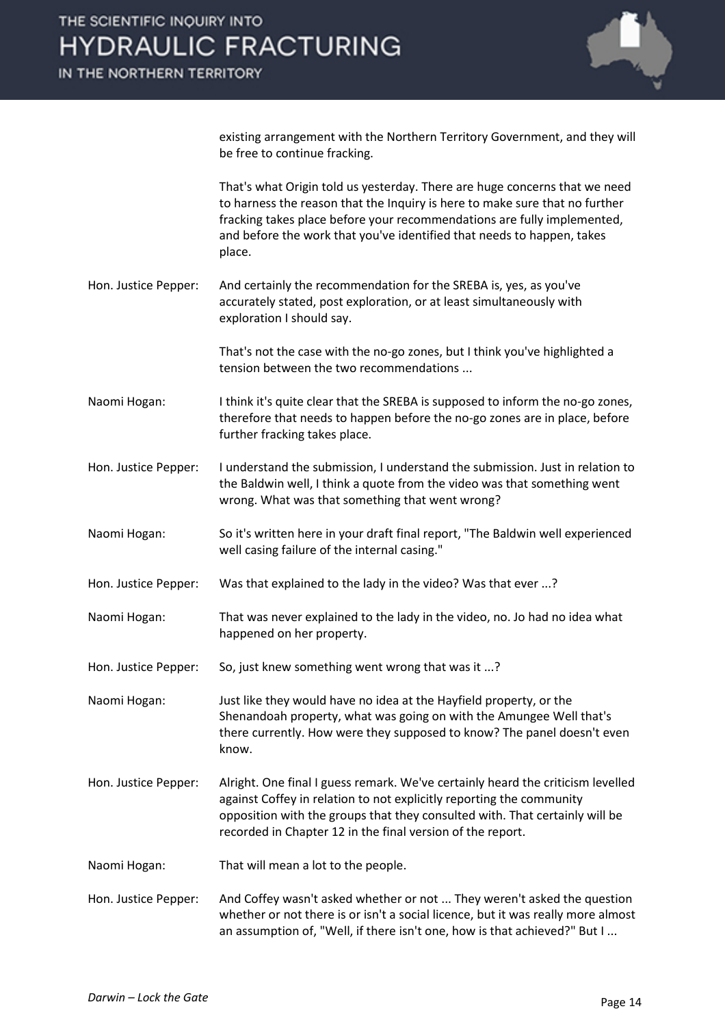

existing arrangement with the Northern Territory Government, and they will be free to continue fracking.

That's what Origin told us yesterday. There are huge concerns that we need to harness the reason that the Inquiry is here to make sure that no further fracking takes place before your recommendations are fully implemented, and before the work that you've identified that needs to happen, takes place.

Hon. Justice Pepper: And certainly the recommendation for the SREBA is, yes, as you've accurately stated, post exploration, or at least simultaneously with exploration I should say.

> That's not the case with the no-go zones, but I think you've highlighted a tension between the two recommendations ...

- Naomi Hogan: I think it's quite clear that the SREBA is supposed to inform the no-go zones, therefore that needs to happen before the no-go zones are in place, before further fracking takes place.
- Hon. Justice Pepper: I understand the submission, I understand the submission. Just in relation to the Baldwin well, I think a quote from the video was that something went wrong. What was that something that went wrong?
- Naomi Hogan: So it's written here in your draft final report, "The Baldwin well experienced well casing failure of the internal casing."
- Hon. Justice Pepper: Was that explained to the lady in the video? Was that ever ...?
- Naomi Hogan: That was never explained to the lady in the video, no. Jo had no idea what happened on her property.
- Hon. Justice Pepper: So, just knew something went wrong that was it ...?

Naomi Hogan: Just like they would have no idea at the Hayfield property, or the Shenandoah property, what was going on with the Amungee Well that's there currently. How were they supposed to know? The panel doesn't even know.

- Hon. Justice Pepper: Alright. One final I guess remark. We've certainly heard the criticism levelled against Coffey in relation to not explicitly reporting the community opposition with the groups that they consulted with. That certainly will be recorded in Chapter 12 in the final version of the report.
- Naomi Hogan: That will mean a lot to the people.
- Hon. Justice Pepper: And Coffey wasn't asked whether or not ... They weren't asked the question whether or not there is or isn't a social licence, but it was really more almost an assumption of, "Well, if there isn't one, how is that achieved?" But I ...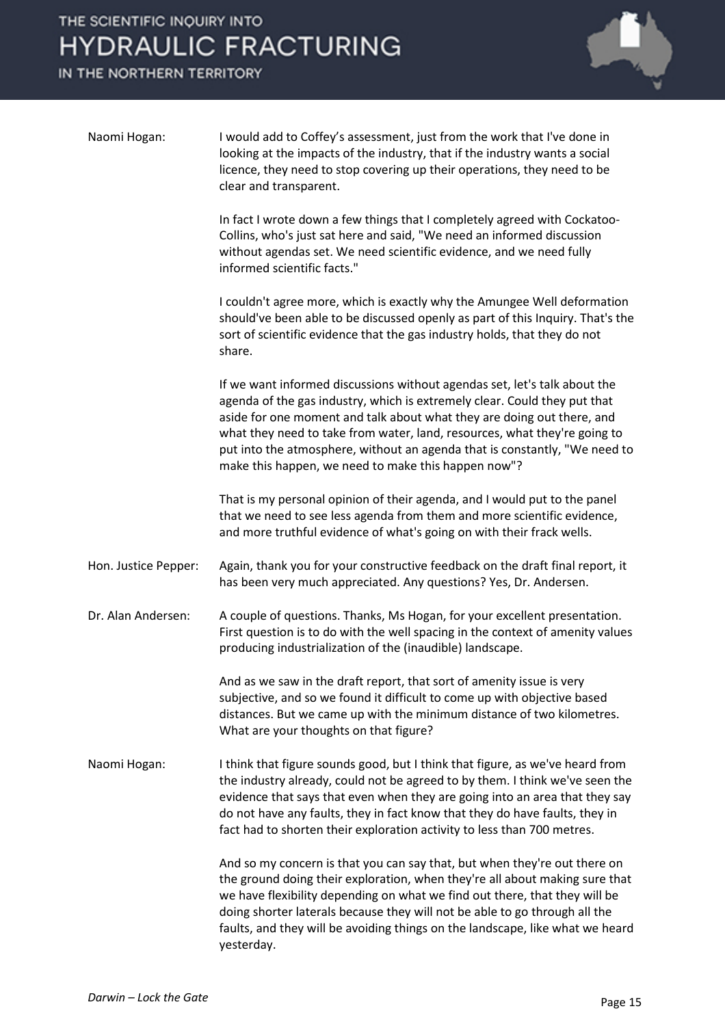IN THE NORTHERN TERRITORY



| Naomi Hogan:         | I would add to Coffey's assessment, just from the work that I've done in<br>looking at the impacts of the industry, that if the industry wants a social<br>licence, they need to stop covering up their operations, they need to be<br>clear and transparent.                                                                                                                                                                                      |
|----------------------|----------------------------------------------------------------------------------------------------------------------------------------------------------------------------------------------------------------------------------------------------------------------------------------------------------------------------------------------------------------------------------------------------------------------------------------------------|
|                      | In fact I wrote down a few things that I completely agreed with Cockatoo-<br>Collins, who's just sat here and said, "We need an informed discussion<br>without agendas set. We need scientific evidence, and we need fully<br>informed scientific facts."                                                                                                                                                                                          |
|                      | I couldn't agree more, which is exactly why the Amungee Well deformation<br>should've been able to be discussed openly as part of this Inquiry. That's the<br>sort of scientific evidence that the gas industry holds, that they do not<br>share.                                                                                                                                                                                                  |
|                      | If we want informed discussions without agendas set, let's talk about the<br>agenda of the gas industry, which is extremely clear. Could they put that<br>aside for one moment and talk about what they are doing out there, and<br>what they need to take from water, land, resources, what they're going to<br>put into the atmosphere, without an agenda that is constantly, "We need to<br>make this happen, we need to make this happen now"? |
|                      | That is my personal opinion of their agenda, and I would put to the panel<br>that we need to see less agenda from them and more scientific evidence,<br>and more truthful evidence of what's going on with their frack wells.                                                                                                                                                                                                                      |
| Hon. Justice Pepper: | Again, thank you for your constructive feedback on the draft final report, it<br>has been very much appreciated. Any questions? Yes, Dr. Andersen.                                                                                                                                                                                                                                                                                                 |
| Dr. Alan Andersen:   | A couple of questions. Thanks, Ms Hogan, for your excellent presentation.<br>First question is to do with the well spacing in the context of amenity values<br>producing industrialization of the (inaudible) landscape.                                                                                                                                                                                                                           |
|                      | And as we saw in the draft report, that sort of amenity issue is very<br>subjective, and so we found it difficult to come up with objective based<br>distances. But we came up with the minimum distance of two kilometres.<br>What are your thoughts on that figure?                                                                                                                                                                              |
| Naomi Hogan:         | I think that figure sounds good, but I think that figure, as we've heard from<br>the industry already, could not be agreed to by them. I think we've seen the<br>evidence that says that even when they are going into an area that they say<br>do not have any faults, they in fact know that they do have faults, they in<br>fact had to shorten their exploration activity to less than 700 metres.                                             |
|                      | And so my concern is that you can say that, but when they're out there on<br>the ground doing their exploration, when they're all about making sure that<br>we have flexibility depending on what we find out there, that they will be<br>doing shorter laterals because they will not be able to go through all the<br>faults, and they will be avoiding things on the landscape, like what we heard<br>yesterday.                                |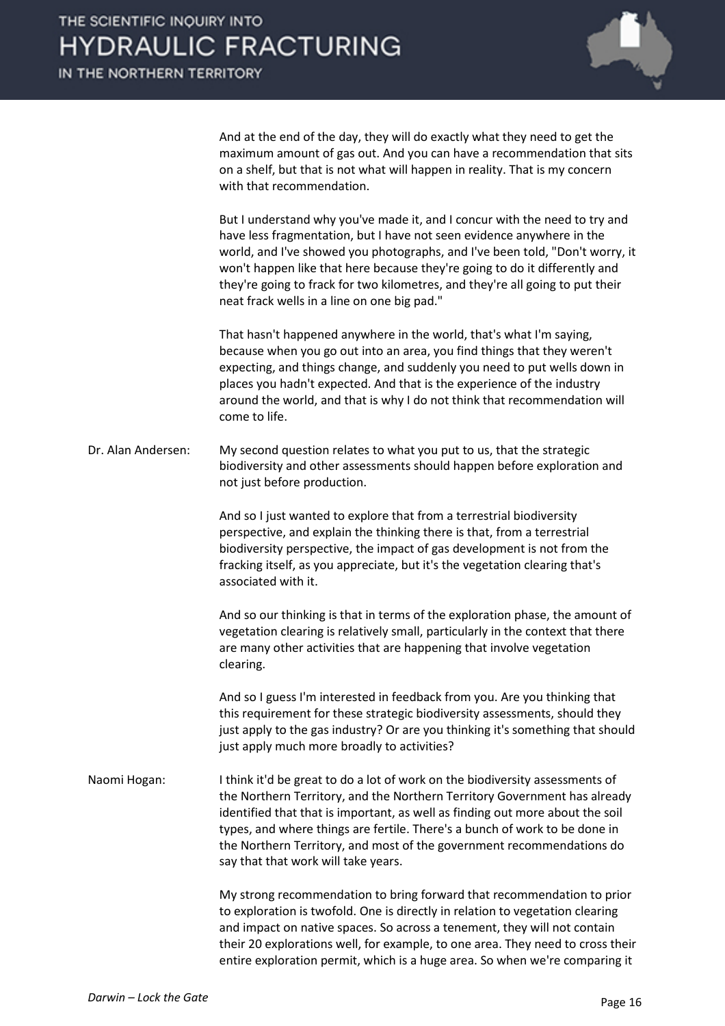And at the end of the day, they will do exactly what they need to get the maximum amount of gas out. And you can have a recommendation that sits on a shelf, but that is not what will happen in reality. That is my concern with that recommendation.

But I understand why you've made it, and I concur with the need to try and have less fragmentation, but I have not seen evidence anywhere in the world, and I've showed you photographs, and I've been told, "Don't worry, it won't happen like that here because they're going to do it differently and they're going to frack for two kilometres, and they're all going to put their neat frack wells in a line on one big pad."

That hasn't happened anywhere in the world, that's what I'm saying, because when you go out into an area, you find things that they weren't expecting, and things change, and suddenly you need to put wells down in places you hadn't expected. And that is the experience of the industry around the world, and that is why I do not think that recommendation will come to life.

Dr. Alan Andersen: My second question relates to what you put to us, that the strategic biodiversity and other assessments should happen before exploration and not just before production.

> And so I just wanted to explore that from a terrestrial biodiversity perspective, and explain the thinking there is that, from a terrestrial biodiversity perspective, the impact of gas development is not from the fracking itself, as you appreciate, but it's the vegetation clearing that's associated with it.

And so our thinking is that in terms of the exploration phase, the amount of vegetation clearing is relatively small, particularly in the context that there are many other activities that are happening that involve vegetation clearing.

And so I guess I'm interested in feedback from you. Are you thinking that this requirement for these strategic biodiversity assessments, should they just apply to the gas industry? Or are you thinking it's something that should just apply much more broadly to activities?

Naomi Hogan: I think it'd be great to do a lot of work on the biodiversity assessments of the Northern Territory, and the Northern Territory Government has already identified that that is important, as well as finding out more about the soil types, and where things are fertile. There's a bunch of work to be done in the Northern Territory, and most of the government recommendations do say that that work will take years.

> My strong recommendation to bring forward that recommendation to prior to exploration is twofold. One is directly in relation to vegetation clearing and impact on native spaces. So across a tenement, they will not contain their 20 explorations well, for example, to one area. They need to cross their entire exploration permit, which is a huge area. So when we're comparing it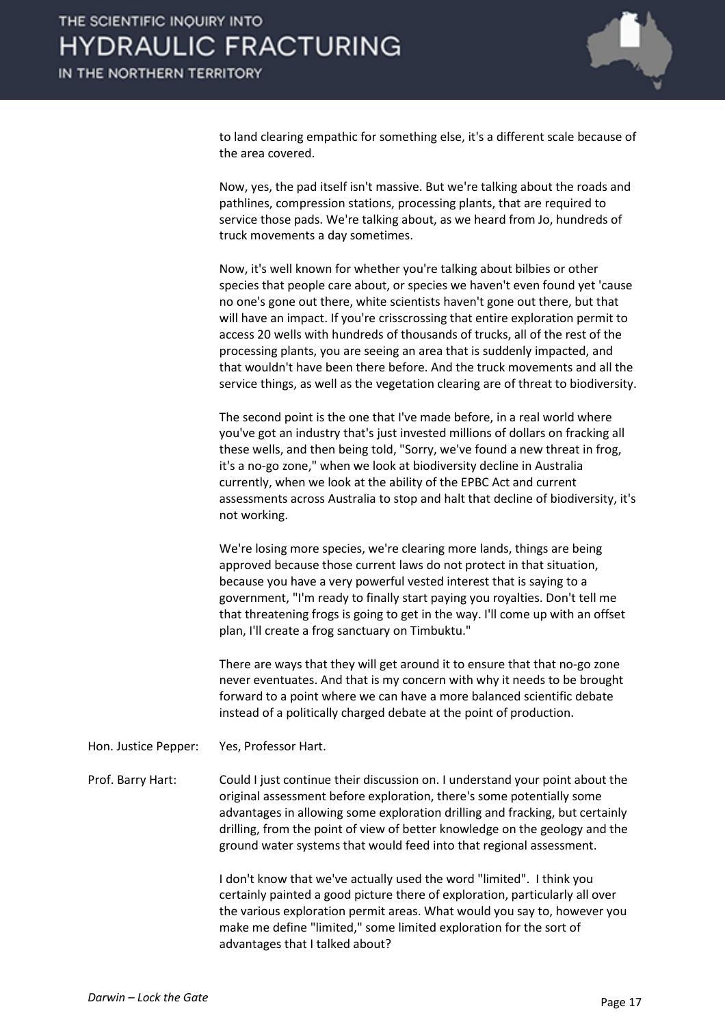

to land clearing empathic for something else, it's a different scale because of the area covered.

Now, yes, the pad itself isn't massive. But we're talking about the roads and pathlines, compression stations, processing plants, that are required to service those pads. We're talking about, as we heard from Jo, hundreds of truck movements a day sometimes.

Now, it's well known for whether you're talking about bilbies or other species that people care about, or species we haven't even found yet 'cause no one's gone out there, white scientists haven't gone out there, but that will have an impact. If you're crisscrossing that entire exploration permit to access 20 wells with hundreds of thousands of trucks, all of the rest of the processing plants, you are seeing an area that is suddenly impacted, and that wouldn't have been there before. And the truck movements and all the service things, as well as the vegetation clearing are of threat to biodiversity.

The second point is the one that I've made before, in a real world where you've got an industry that's just invested millions of dollars on fracking all these wells, and then being told, "Sorry, we've found a new threat in frog, it's a no-go zone," when we look at biodiversity decline in Australia currently, when we look at the ability of the EPBC Act and current assessments across Australia to stop and halt that decline of biodiversity, it's not working.

We're losing more species, we're clearing more lands, things are being approved because those current laws do not protect in that situation, because you have a very powerful vested interest that is saying to a government, "I'm ready to finally start paying you royalties. Don't tell me that threatening frogs is going to get in the way. I'll come up with an offset plan, I'll create a frog sanctuary on Timbuktu."

There are ways that they will get around it to ensure that that no-go zone never eventuates. And that is my concern with why it needs to be brought forward to a point where we can have a more balanced scientific debate instead of a politically charged debate at the point of production.

Hon. Justice Pepper: Yes, Professor Hart.

Prof. Barry Hart: Could I just continue their discussion on. I understand your point about the original assessment before exploration, there's some potentially some advantages in allowing some exploration drilling and fracking, but certainly drilling, from the point of view of better knowledge on the geology and the ground water systems that would feed into that regional assessment.

> I don't know that we've actually used the word "limited". I think you certainly painted a good picture there of exploration, particularly all over the various exploration permit areas. What would you say to, however you make me define "limited," some limited exploration for the sort of advantages that I talked about?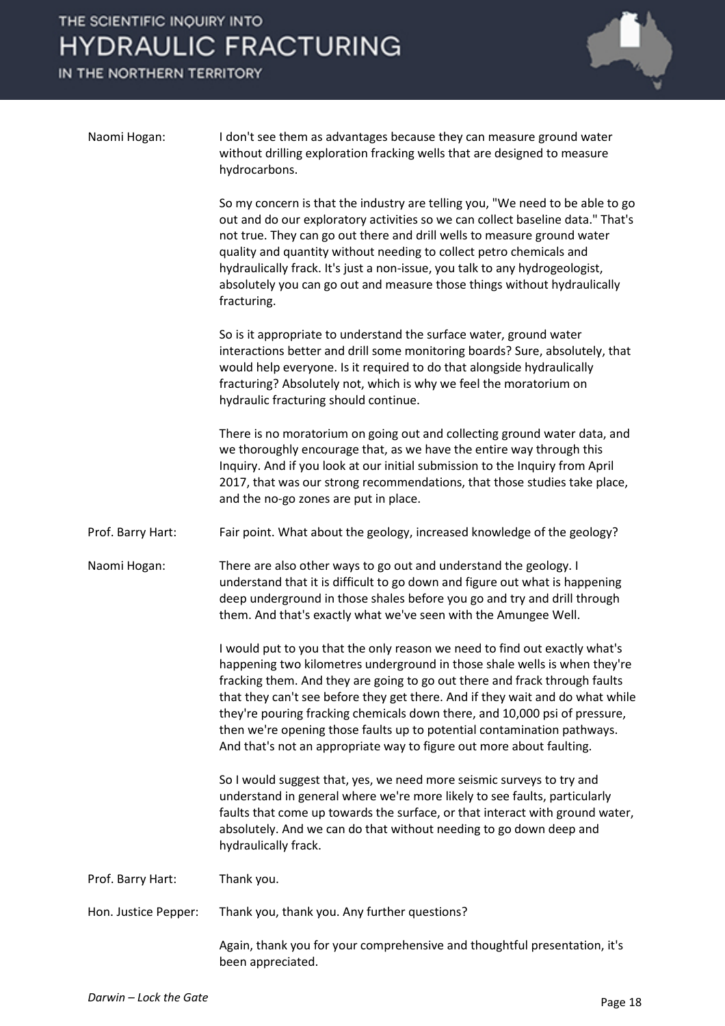THE SCIENTIFIC INQUIRY INTO **HYDRAULIC FRACTURING** 

IN THE NORTHERN TERRITORY



| Naomi Hogan:         | I don't see them as advantages because they can measure ground water<br>without drilling exploration fracking wells that are designed to measure<br>hydrocarbons.                                                                                                                                                                                                                                                                                                                                                                                       |
|----------------------|---------------------------------------------------------------------------------------------------------------------------------------------------------------------------------------------------------------------------------------------------------------------------------------------------------------------------------------------------------------------------------------------------------------------------------------------------------------------------------------------------------------------------------------------------------|
|                      | So my concern is that the industry are telling you, "We need to be able to go<br>out and do our exploratory activities so we can collect baseline data." That's<br>not true. They can go out there and drill wells to measure ground water<br>quality and quantity without needing to collect petro chemicals and<br>hydraulically frack. It's just a non-issue, you talk to any hydrogeologist,<br>absolutely you can go out and measure those things without hydraulically<br>fracturing.                                                             |
|                      | So is it appropriate to understand the surface water, ground water<br>interactions better and drill some monitoring boards? Sure, absolutely, that<br>would help everyone. Is it required to do that alongside hydraulically<br>fracturing? Absolutely not, which is why we feel the moratorium on<br>hydraulic fracturing should continue.                                                                                                                                                                                                             |
|                      | There is no moratorium on going out and collecting ground water data, and<br>we thoroughly encourage that, as we have the entire way through this<br>Inquiry. And if you look at our initial submission to the Inquiry from April<br>2017, that was our strong recommendations, that those studies take place,<br>and the no-go zones are put in place.                                                                                                                                                                                                 |
| Prof. Barry Hart:    | Fair point. What about the geology, increased knowledge of the geology?                                                                                                                                                                                                                                                                                                                                                                                                                                                                                 |
| Naomi Hogan:         | There are also other ways to go out and understand the geology. I<br>understand that it is difficult to go down and figure out what is happening<br>deep underground in those shales before you go and try and drill through<br>them. And that's exactly what we've seen with the Amungee Well.                                                                                                                                                                                                                                                         |
|                      | I would put to you that the only reason we need to find out exactly what's<br>happening two kilometres underground in those shale wells is when they're<br>fracking them. And they are going to go out there and frack through faults<br>that they can't see before they get there. And if they wait and do what while<br>they're pouring fracking chemicals down there, and 10,000 psi of pressure,<br>then we're opening those faults up to potential contamination pathways.<br>And that's not an appropriate way to figure out more about faulting. |
|                      | So I would suggest that, yes, we need more seismic surveys to try and<br>understand in general where we're more likely to see faults, particularly<br>faults that come up towards the surface, or that interact with ground water,<br>absolutely. And we can do that without needing to go down deep and<br>hydraulically frack.                                                                                                                                                                                                                        |
| Prof. Barry Hart:    | Thank you.                                                                                                                                                                                                                                                                                                                                                                                                                                                                                                                                              |
| Hon. Justice Pepper: | Thank you, thank you. Any further questions?                                                                                                                                                                                                                                                                                                                                                                                                                                                                                                            |
|                      | Again, thank you for your comprehensive and thoughtful presentation, it's<br>been appreciated.                                                                                                                                                                                                                                                                                                                                                                                                                                                          |